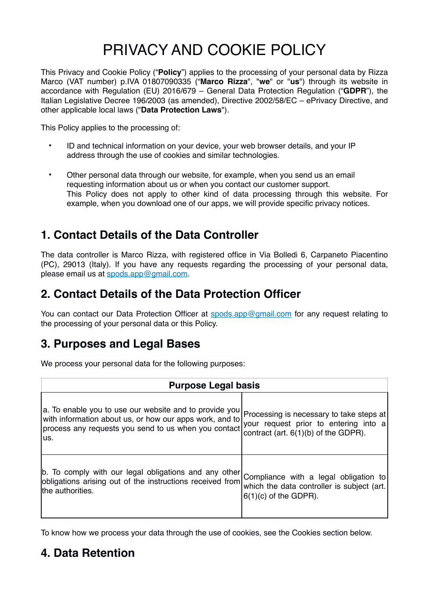# PRIVACY AND COOKIE POLICY

This Privacy and Cookie Policy ("**Policy**") applies to the processing of your personal data by Rizza Marco (VAT number) p.IVA 01807090335 ("**Marco Rizza**", "**we**" or "**us**") through its website in accordance with Regulation (EU) 2016/679 – General Data Protection Regulation ("**GDPR**"), the Italian Legislative Decree 196/2003 (as amended), Directive 2002/58/EC – ePrivacy Directive, and other applicable local laws ("**Data Protection Laws**").

This Policy applies to the processing of:

- ID and technical information on your device, your web browser details, and your IP address through the use of cookies and similar technologies.
- Other personal data through our website, for example, when you send us an email requesting information about us or when you contact our customer support. This Policy does not apply to other kind of data processing through this website. For example, when you download one of our apps, we will provide specific privacy notices.

### **1. Contact Details of the Data Controller**

The data controller is Marco Rizza, with registered office in Via Bolledi 6, Carpaneto Piacentino (PC), 29013 (Italy). If you have any requests regarding the processing of your personal data, please email us at [spods.app@gmail.com](mailto:spods.app@gmail.com?subject=Processing%20of%20personal%20data).

### **2. Contact Details of the Data Protection Officer**

You can contact our Data Protection Officer at [spods.app@gmail.com](mailto:spods.app@gmail.com?subject=Processing%20of%20personal%20data) for any request relating to the processing of your personal data or this Policy.

### **3. Purposes and Legal Bases**

We process your personal data for the following purposes:

| <b>Purpose Legal basis</b>                                                                                                                                                       |                                                                                                                             |  |  |  |  |
|----------------------------------------------------------------------------------------------------------------------------------------------------------------------------------|-----------------------------------------------------------------------------------------------------------------------------|--|--|--|--|
| a. To enable you to use our website and to provide you<br>with information about us, or how our apps work, and to<br>process any requests you send to us when you contact<br>us. | Processing is necessary to take steps at<br>your request prior to entering into a<br>contract (art. $6(1)(b)$ of the GDPR). |  |  |  |  |
| b. To comply with our legal obligations and any other<br>obligations arising out of the instructions received from<br>the authorities.                                           | Compliance with a legal obligation to<br>which the data controller is subject (art.<br>$6(1)(c)$ of the GDPR).              |  |  |  |  |

To know how we process your data through the use of cookies, see the Cookies section below.

### **4. Data Retention**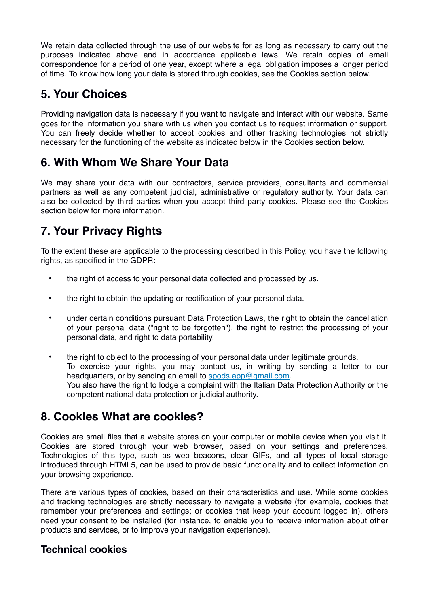We retain data collected through the use of our website for as long as necessary to carry out the purposes indicated above and in accordance applicable laws. We retain copies of email correspondence for a period of one year, except where a legal obligation imposes a longer period of time. To know how long your data is stored through cookies, see the Cookies section below.

### **5. Your Choices**

Providing navigation data is necessary if you want to navigate and interact with our website. Same goes for the information you share with us when you contact us to request information or support. You can freely decide whether to accept cookies and other tracking technologies not strictly necessary for the functioning of the website as indicated below in the Cookies section below.

### **6. With Whom We Share Your Data**

We may share your data with our contractors, service providers, consultants and commercial partners as well as any competent judicial, administrative or regulatory authority. Your data can also be collected by third parties when you accept third party cookies. Please see the Cookies section below for more information.

## **7. Your Privacy Rights**

To the extent these are applicable to the processing described in this Policy, you have the following rights, as specified in the GDPR:

- the right of access to your personal data collected and processed by us.
- the right to obtain the updating or rectification of your personal data.
- under certain conditions pursuant Data Protection Laws, the right to obtain the cancellation of your personal data ("right to be forgotten"), the right to restrict the processing of your personal data, and right to data portability.
- the right to object to the processing of your personal data under legitimate grounds. To exercise your rights, you may contact us, in writing by sending a letter to our headquarters, or by sending an email to [spods.app@gmail.com.](mailto:spods.app@gmail.com?subject=Processing%20of%20personal%20data) You also have the right to lodge a complaint with the Italian Data Protection Authority or the competent national data protection or judicial authority.

### **8. Cookies What are cookies?**

Cookies are small files that a website stores on your computer or mobile device when you visit it. Cookies are stored through your web browser, based on your settings and preferences. Technologies of this type, such as web beacons, clear GIFs, and all types of local storage introduced through HTML5, can be used to provide basic functionality and to collect information on your browsing experience.

There are various types of cookies, based on their characteristics and use. While some cookies and tracking technologies are strictly necessary to navigate a website (for example, cookies that remember your preferences and settings; or cookies that keep your account logged in), others need your consent to be installed (for instance, to enable you to receive information about other products and services, or to improve your navigation experience).

#### **Technical cookies**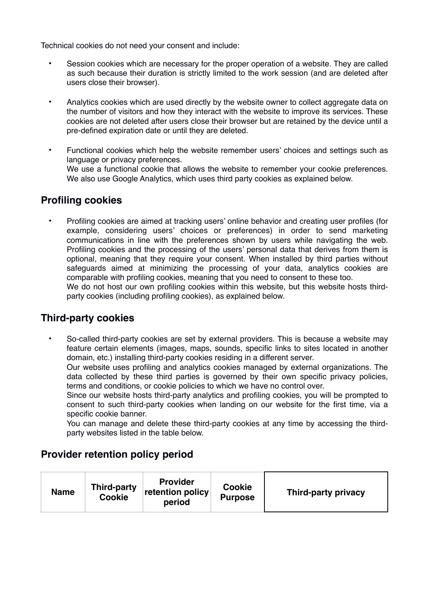Technical cookies do not need your consent and include:

- Session cookies which are necessary for the proper operation of a website. They are called as such because their duration is strictly limited to the work session (and are deleted after users close their browser).
- Analytics cookies which are used directly by the website owner to collect aggregate data on the number of visitors and how they interact with the website to improve its services. These cookies are not deleted after users close their browser but are retained by the device until a pre-defined expiration date or until they are deleted.
- Functional cookies which help the website remember users' choices and settings such as language or privacy preferences. We use a functional cookie that allows the website to remember your cookie preferences. We also use Google Analytics, which uses third party cookies as explained below.

#### **Profiling cookies**

• Profiling cookies are aimed at tracking users' online behavior and creating user profiles (for example, considering users' choices or preferences) in order to send marketing communications in line with the preferences shown by users while navigating the web. Profiling cookies and the processing of the users' personal data that derives from them is optional, meaning that they require your consent. When installed by third parties without safeguards aimed at minimizing the processing of your data, analytics cookies are comparable with profiling cookies, meaning that you need to consent to these too.

We do not host our own profiling cookies within this website, but this website hosts thirdparty cookies (including profiling cookies), as explained below.

#### **Third-party cookies**

• So-called third-party cookies are set by external providers. This is because a website may feature certain elements (images, maps, sounds, specific links to sites located in another domain, etc.) installing third-party cookies residing in a different server.

Our website uses profiling and analytics cookies managed by external organizations. The data collected by these third parties is governed by their own specific privacy policies, terms and conditions, or cookie policies to which we have no control over.

Since our website hosts third-party analytics and profiling cookies, you will be prompted to consent to such third-party cookies when landing on our website for the first time, via a specific cookie banner.

You can manage and delete these third-party cookies at any time by accessing the thirdparty websites listed in the table below.

#### **Provider retention policy period**

| Third-party<br><b>Name</b><br><b>Cookie</b> | <b>Provider</b><br>retention policy<br>period | <b>Cookie</b><br><b>Purpose</b> | Third-party privacy |
|---------------------------------------------|-----------------------------------------------|---------------------------------|---------------------|
|---------------------------------------------|-----------------------------------------------|---------------------------------|---------------------|